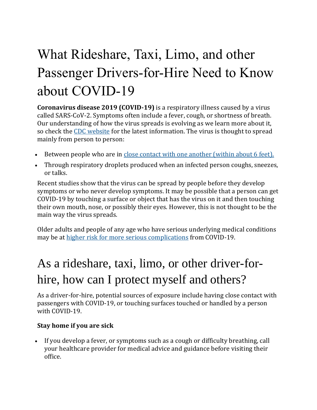# What Rideshare, Taxi, Limo, and other Passenger Drivers-for-Hire Need to Know about COVID-19

**Coronavirus disease 2019 (COVID-19)** is a respiratory illness caused by a virus called SARS-CoV-2. Symptoms often include a fever, cough, or shortness of breath. Our understanding of how the virus spreads is evolving as we learn more about it, so check the [CDC website](https://www.cdc.gov/coronavirus/2019-ncov/prevent-getting-sick/how-covid-spreads.html) for the latest information. The virus is thought to spread mainly from person to person:

- Between people who are in close contact with one another (within about 6 feet).
- Through respiratory droplets produced when an infected person coughs, sneezes, or talks.

Recent studies show that the virus can be spread by people before they develop symptoms or who never develop symptoms. It may be possible that a person can get COVID-19 by touching a surface or object that has the virus on it and then touching their own mouth, nose, or possibly their eyes. However, this is not thought to be the main way the virus spreads.

Older adults and people of any age who have serious underlying medical conditions may be at [higher risk for more serious complications](https://www.cdc.gov/coronavirus/2019-ncov/need-extra-precautions/people-at-higher-risk.html) from COVID-19.

## As a rideshare, taxi, limo, or other driver-forhire, how can I protect myself and others?

As a driver-for-hire, potential sources of exposure include having close contact with passengers with COVID-19, or touching surfaces touched or handled by a person with COVID-19.

#### **Stay home if you are sick**

• If you develop a fever, or symptoms such as a cough or difficulty breathing, call your healthcare provider for medical advice and guidance before visiting their office.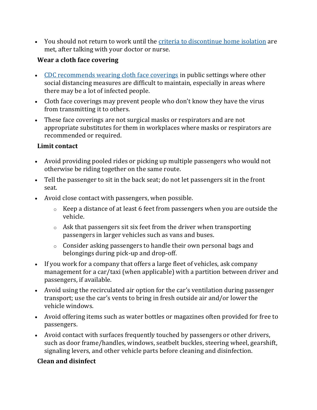• You should not return to work until the [criteria to discontinue home isolation](https://www.cdc.gov/coronavirus/2019-ncov/hcp/disposition-in-home-patients.html) are met, after talking with your doctor or nurse.

#### **Wear a cloth face covering**

- [CDC recommends wearing cloth face coverings](https://www.cdc.gov/coronavirus/2019-ncov/prevent-getting-sick/diy-cloth-face-coverings.html) in public settings where other social distancing measures are difficult to maintain, especially in areas where there may be a lot of infected people.
- Cloth face coverings may prevent people who don't know they have the virus from transmitting it to others.
- These face coverings are not surgical masks or respirators and are not appropriate substitutes for them in workplaces where masks or respirators are recommended or required.

#### **Limit contact**

- Avoid providing pooled rides or picking up multiple passengers who would not otherwise be riding together on the same route.
- Tell the passenger to sit in the back seat; do not let passengers sit in the front seat.
- Avoid close contact with passengers, when possible.
	- o Keep a distance of at least 6 feet from passengers when you are outside the vehicle.
	- $\circ$  Ask that passengers sit six feet from the driver when transporting passengers in larger vehicles such as vans and buses.
	- o Consider asking passengers to handle their own personal bags and belongings during pick-up and drop-off.
- If you work for a company that offers a large fleet of vehicles, ask company management for a car/taxi (when applicable) with a partition between driver and passengers, if available.
- Avoid using the recirculated air option for the car's ventilation during passenger transport; use the car's vents to bring in fresh outside air and/or lower the vehicle windows.
- Avoid offering items such as water bottles or magazines often provided for free to passengers.
- Avoid contact with surfaces frequently touched by passengers or other drivers, such as door frame/handles, windows, seatbelt buckles, steering wheel, gearshift, signaling levers, and other vehicle parts before cleaning and disinfection.

#### **Clean and disinfect**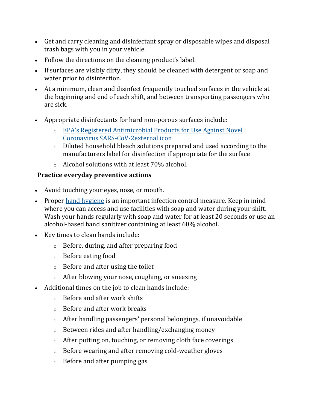- Get and carry cleaning and disinfectant spray or disposable wipes and disposal trash bags with you in your vehicle.
- Follow the directions on the cleaning product's label.
- If surfaces are visibly dirty, they should be cleaned with detergent or soap and water prior to disinfection.
- At a minimum, clean and disinfect frequently touched surfaces in the vehicle at the beginning and end of each shift, and between transporting passengers who are sick.
- Appropriate disinfectants for hard non-porous surfaces include:
	- o [EPA's Registered Antimicrobial Products for Use Against Novel](https://www.epa.gov/pesticide-registration/list-n-disinfectants-use-against-sars-cov-2)  [Coronavirus SARS-CoV-2external](https://www.epa.gov/pesticide-registration/list-n-disinfectants-use-against-sars-cov-2) icon
	- o Diluted household bleach solutions prepared and used according to the manufacturers label for disinfection if appropriate for the surface
	- o Alcohol solutions with at least 70% alcohol.

#### **Practice everyday preventive actions**

- Avoid touching your eyes, nose, or mouth.
- Proper [hand hygiene](https://www.cdc.gov/handwashing/index.html) is an important infection control measure. Keep in mind where you can access and use facilities with soap and water during your shift. Wash your hands regularly with soap and water for at least 20 seconds or use an alcohol-based hand sanitizer containing at least 60% alcohol.
- Key times to clean hands include:
	- o Before, during, and after preparing food
	- o Before eating food
	- o Before and after using the toilet
	- $\circ$  After blowing your nose, coughing, or sneezing
- Additional times on the job to clean hands include:
	- o Before and after work shifts
	- o Before and after work breaks
	- o After handling passengers' personal belongings, if unavoidable
	- o Between rides and after handling/exchanging money
	- $\circ$  After putting on, touching, or removing cloth face coverings
	- o Before wearing and after removing cold-weather gloves
	- o Before and after pumping gas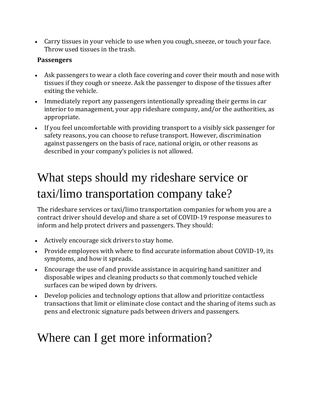• Carry tissues in your vehicle to use when you cough, sneeze, or touch your face. Throw used tissues in the trash.

#### **Passengers**

- Ask passengers to wear a cloth face covering and cover their mouth and nose with tissues if they cough or sneeze. Ask the passenger to dispose of the tissues after exiting the vehicle.
- Immediately report any passengers intentionally spreading their germs in car interior to management, your app rideshare company, and/or the authorities, as appropriate.
- If you feel uncomfortable with providing transport to a visibly sick passenger for safety reasons, you can choose to refuse transport. However, discrimination against passengers on the basis of race, national origin, or other reasons as described in your company's policies is not allowed.

### What steps should my rideshare service or taxi/limo transportation company take?

The rideshare services or taxi/limo transportation companies for whom you are a contract driver should develop and share a set of COVID-19 response measures to inform and help protect drivers and passengers. They should:

- Actively encourage sick drivers to stay home.
- Provide employees with where to find accurate information about COVID-19, its symptoms, and how it spreads.
- Encourage the use of and provide assistance in acquiring hand sanitizer and disposable wipes and cleaning products so that commonly touched vehicle surfaces can be wiped down by drivers.
- Develop policies and technology options that allow and prioritize contactless transactions that limit or eliminate close contact and the sharing of items such as pens and electronic signature pads between drivers and passengers.

### Where can I get more information?